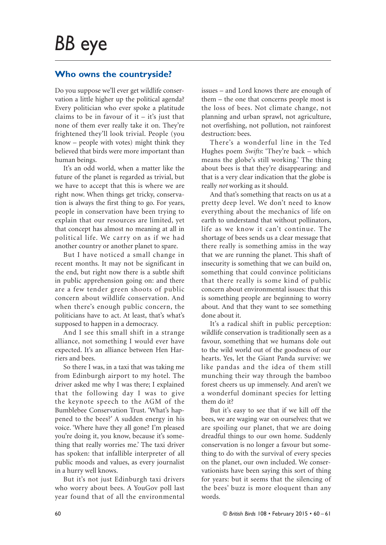## **Who owns the countryside?**

Do you suppose we'll ever get wildlife conservation a little higher up the political agenda? Every politician who ever spoke a platitude claims to be in favour of it  $-$  it's just that none of them ever really take it on. They're frightened they'll look trivial. People (you know – people with votes) might think they believed that birds were more important than human beings.

It's an odd world, when a matter like the future of the planet is regarded as trivial, but we have to accept that this is where we are right now. When things get tricky, conservation is always the first thing to go. For years, people in conservation have been trying to explain that our resources are limited, yet that concept has almost no meaning at all in political life. We carry on as if we had another country or another planet to spare.

But I have noticed a small change in recent months. It may not be significant in the end, but right now there is a subtle shift in public apprehension going on: and there are a few tender green shoots of public concern about wildlife conservation. And when there's enough public concern, the politicians have to act. At least, that's what's supposed to happen in a democracy.

And I see this small shift in a strange alliance, not something I would ever have expected. It's an alliance between Hen Harriers and bees.

So there I was, in a taxi that was taking me from Edinburgh airport to my hotel. The driver asked me why I was there; I explained that the following day I was to give the keynote speech to the AGM of the Bumblebee Conservation Trust. 'What's happened to the bees?' A sudden energy in his voice. 'Where have they all gone? I'm pleased you're doing it, you know, because it's something that really worries me.' The taxi driver has spoken: that infallible interpreter of all public moods and values, as every journalist in a hurry well knows.

But it's not just Edinburgh taxi drivers who worry about bees. A YouGov poll last year found that of all the environmental

issues – and Lord knows there are enough of them – the one that concerns people most is the loss of bees. Not climate change, not planning and urban sprawl, not agriculture, not overfishing, not pollution, not rainforest destruction: bees.

There's a wonderful line in the Ted Hughes poem *Swifts*: 'They're back – which means the globe's still working.' The thing about bees is that they're disappearing: and that is a very clear indication that the globe is really *not* working as it should.

And that's something that reacts on us at a pretty deep level. We don't need to know everything about the mechanics of life on earth to understand that without pollinators, life as we know it can't continue. The shortage of bees sends us a clear message that there really is something amiss in the way that we are running the planet. This shaft of insecurity is something that we can build on, something that could convince politicians that there really is some kind of public concern about environmental issues: that this is something people are beginning to worry about. And that they want to see something done about it.

It's a radical shift in public perception: wildlife conservation is traditionally seen as a favour, something that we humans dole out to the wild world out of the goodness of our hearts. Yes, let the Giant Panda survive: we like pandas and the idea of them still munching their way through the bamboo forest cheers us up immensely. And aren't we a wonderful dominant species for letting them do it?

But it's easy to see that if we kill off the bees, we are waging war on ourselves: that we are spoiling our planet, that we are doing dreadful things to our own home. Suddenly conservation is no longer a favour but something to do with the survival of every species on the planet, our own included. We conservationists have been saying this sort of thing for years: but it seems that the silencing of the bees' buzz is more eloquent than any words.